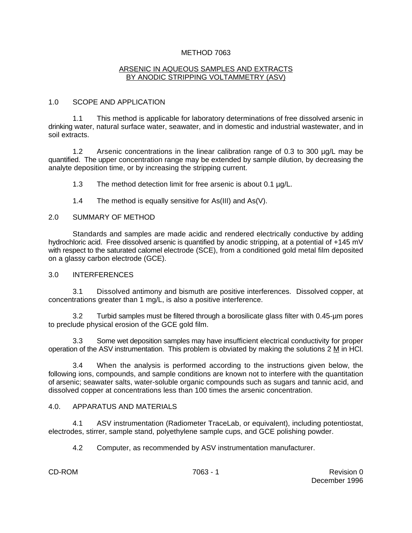#### METHOD 7063

#### ARSENIC IN AQUEOUS SAMPLES AND EXTRACTS BY ANODIC STRIPPING VOLTAMMETRY (ASV)

# 1.0 SCOPE AND APPLICATION

1.1 This method is applicable for laboratory determinations of free dissolved arsenic in drinking water, natural surface water, seawater, and in domestic and industrial wastewater, and in soil extracts.

1.2 Arsenic concentrations in the linear calibration range of 0.3 to 300 µg/L may be quantified. The upper concentration range may be extended by sample dilution, by decreasing the analyte deposition time, or by increasing the stripping current.

1.3 The method detection limit for free arsenic is about 0.1 µg/L.

1.4 The method is equally sensitive for As(III) and As(V).

#### 2.0 SUMMARY OF METHOD

Standards and samples are made acidic and rendered electrically conductive by adding hydrochloric acid. Free dissolved arsenic is quantified by anodic stripping, at a potential of +145 mV with respect to the saturated calomel electrode (SCE), from a conditioned gold metal film deposited on a glassy carbon electrode (GCE).

#### 3.0 INTERFERENCES

3.1 Dissolved antimony and bismuth are positive interferences. Dissolved copper, at concentrations greater than 1 mg/L, is also a positive interference.

3.2 Turbid samples must be filtered through a borosilicate glass filter with 0.45-µm pores to preclude physical erosion of the GCE gold film.

3.3 Some wet deposition samples may have insufficient electrical conductivity for proper operation of the ASV instrumentation. This problem is obviated by making the solutions  $2 M$  in HCl.

3.4 When the analysis is performed according to the instructions given below, the following ions, compounds, and sample conditions are known not to interfere with the quantitation of arsenic; seawater salts, water-soluble organic compounds such as sugars and tannic acid, and dissolved copper at concentrations less than 100 times the arsenic concentration.

# 4.0. APPARATUS AND MATERIALS

4.1 ASV instrumentation (Radiometer TraceLab, or equivalent), including potentiostat, electrodes, stirrer, sample stand, polyethylene sample cups, and GCE polishing powder.

4.2 Computer, as recommended by ASV instrumentation manufacturer.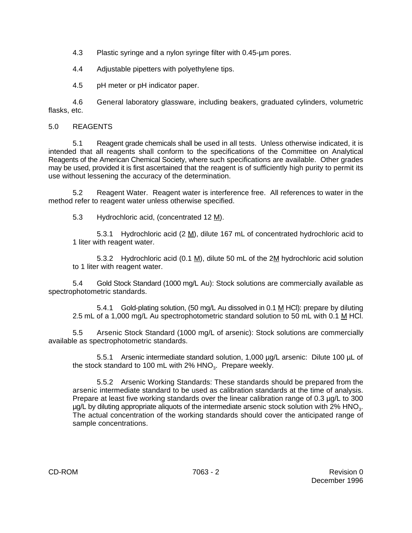4.3 Plastic syringe and a nylon syringe filter with 0.45-µm pores.

4.4 Adjustable pipetters with polyethylene tips.

4.5 pH meter or pH indicator paper.

4.6 General laboratory glassware, including beakers, graduated cylinders, volumetric flasks, etc.

# 5.0 REAGENTS

5.1 Reagent grade chemicals shall be used in all tests. Unless otherwise indicated, it is intended that all reagents shall conform to the specifications of the Committee on Analytical Reagents of the American Chemical Society, where such specifications are available. Other grades may be used, provided it is first ascertained that the reagent is of sufficiently high purity to permit its use without lessening the accuracy of the determination.

5.2 Reagent Water. Reagent water is interference free. All references to water in the method refer to reagent water unless otherwise specified.

5.3 Hydrochloric acid, (concentrated 12 M).

5.3.1 Hydrochloric acid (2 M), dilute 167 mL of concentrated hydrochloric acid to 1 liter with reagent water.

5.3.2 Hydrochloric acid (0.1  $\underline{M}$ ), dilute 50 mL of the 2 $\underline{M}$  hydrochloric acid solution to 1 liter with reagent water.

5.4 Gold Stock Standard (1000 mg/L Au): Stock solutions are commercially available as spectrophotometric standards.

5.4.1 Gold-plating solution, (50 mg/L Au dissolved in 0.1 M HCl): prepare by diluting 2.5 mL of a 1,000 mg/L Au spectrophotometric standard solution to 50 mL with 0.1 M HCl.

5.5 Arsenic Stock Standard (1000 mg/L of arsenic): Stock solutions are commercially available as spectrophotometric standards.

5.5.1 Arsenic intermediate standard solution, 1,000 µg/L arsenic: Dilute 100 µL of the stock standard to 100 mL with  $2\%$  HNO<sub>3</sub>. Prepare weekly.

5.5.2 Arsenic Working Standards: These standards should be prepared from the arsenic intermediate standard to be used as calibration standards at the time of analysis. Prepare at least five working standards over the linear calibration range of 0.3 µg/L to 300  $\mu$ g/L by diluting appropriate aliquots of the intermediate arsenic stock solution with 2% HNO<sub>3</sub>. The actual concentration of the working standards should cover the anticipated range of sample concentrations.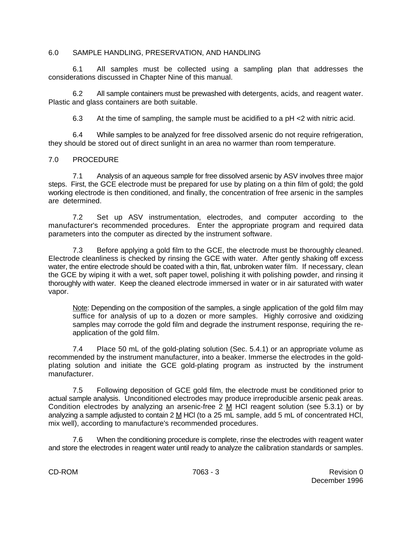#### 6.0 SAMPLE HANDLING, PRESERVATION, AND HANDLING

6.1 All samples must be collected using a sampling plan that addresses the considerations discussed in Chapter Nine of this manual.

6.2 All sample containers must be prewashed with detergents, acids, and reagent water. Plastic and glass containers are both suitable.

6.3 At the time of sampling, the sample must be acidified to a pH <2 with nitric acid.

6.4 While samples to be analyzed for free dissolved arsenic do not require refrigeration, they should be stored out of direct sunlight in an area no warmer than room temperature.

#### 7.0 PROCEDURE

7.1 Analysis of an aqueous sample for free dissolved arsenic by ASV involves three major steps. First, the GCE electrode must be prepared for use by plating on a thin film of gold; the gold working electrode is then conditioned, and finally, the concentration of free arsenic in the samples are determined.

7.2 Set up ASV instrumentation, electrodes, and computer according to the manufacturer's recommended procedures. Enter the appropriate program and required data parameters into the computer as directed by the instrument software.

7.3 Before applying a gold film to the GCE, the electrode must be thoroughly cleaned. Electrode cleanliness is checked by rinsing the GCE with water. After gently shaking off excess water, the entire electrode should be coated with a thin, flat, unbroken water film. If necessary, clean the GCE by wiping it with a wet, soft paper towel, polishing it with polishing powder, and rinsing it thoroughly with water. Keep the cleaned electrode immersed in water or in air saturated with water vapor.

Note: Depending on the composition of the samples, a single application of the gold film may suffice for analysis of up to a dozen or more samples. Highly corrosive and oxidizing samples may corrode the gold film and degrade the instrument response, requiring the reapplication of the gold film.

7.4 Place 50 mL of the gold-plating solution (Sec. 5.4.1) or an appropriate volume as recommended by the instrument manufacturer, into a beaker. Immerse the electrodes in the goldplating solution and initiate the GCE gold-plating program as instructed by the instrument manufacturer.

7.5 Following deposition of GCE gold film, the electrode must be conditioned prior to actual sample analysis. Unconditioned electrodes may produce irreproducible arsenic peak areas. Condition electrodes by analyzing an arsenic-free 2 M HCl reagent solution (see 5.3.1) or by analyzing a sample adjusted to contain 2 M HCl (to a 25 mL sample, add 5 mL of concentrated HCl, mix well), according to manufacture's recommended procedures.

7.6 When the conditioning procedure is complete, rinse the electrodes with reagent water and store the electrodes in reagent water until ready to analyze the calibration standards or samples.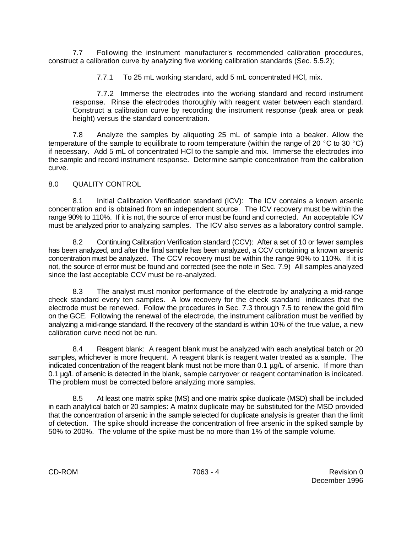7.7 Following the instrument manufacturer's recommended calibration procedures, construct a calibration curve by analyzing five working calibration standards (Sec. 5.5.2);

7.7.1 To 25 mL working standard, add 5 mL concentrated HCl, mix.

7.7.2 Immerse the electrodes into the working standard and record instrument response. Rinse the electrodes thoroughly with reagent water between each standard. Construct a calibration curve by recording the instrument response (peak area or peak height) versus the standard concentration.

7.8 Analyze the samples by aliquoting 25 mL of sample into a beaker. Allow the temperature of the sample to equilibrate to room temperature (within the range of 20 °C to 30 °C) if necessary. Add 5 mL of concentrated HCl to the sample and mix. Immerse the electrodes into the sample and record instrument response. Determine sample concentration from the calibration curve.

# 8.0 QUALITY CONTROL

8.1 Initial Calibration Verification standard (ICV): The ICV contains a known arsenic concentration and is obtained from an independent source. The ICV recovery must be within the range 90% to 110%. If it is not, the source of error must be found and corrected. An acceptable ICV must be analyzed prior to analyzing samples. The ICV also serves as a laboratory control sample.

8.2 Continuing Calibration Verification standard (CCV): After a set of 10 or fewer samples has been analyzed, and after the final sample has been analyzed, a CCV containing a known arsenic concentration must be analyzed. The CCV recovery must be within the range 90% to 110%. If it is not, the source of error must be found and corrected (see the note in Sec. 7.9) All samples analyzed since the last acceptable CCV must be re-analyzed.

8.3 The analyst must monitor performance of the electrode by analyzing a mid-range check standard every ten samples. A low recovery for the check standard indicates that the electrode must be renewed. Follow the procedures in Sec. 7.3 through 7.5 to renew the gold film on the GCE. Following the renewal of the electrode, the instrument calibration must be verified by analyzing a mid-range standard. If the recovery of the standard is within 10% of the true value, a new calibration curve need not be run.

8.4 Reagent blank: A reagent blank must be analyzed with each analytical batch or 20 samples, whichever is more frequent. A reagent blank is reagent water treated as a sample. The indicated concentration of the reagent blank must not be more than 0.1 µg/L of arsenic. If more than 0.1 µg/L of arsenic is detected in the blank, sample carryover or reagent contamination is indicated. The problem must be corrected before analyzing more samples.

8.5 At least one matrix spike (MS) and one matrix spike duplicate (MSD) shall be included in each analytical batch or 20 samples: A matrix duplicate may be substituted for the MSD provided that the concentration of arsenic in the sample selected for duplicate analysis is greater than the limit of detection. The spike should increase the concentration of free arsenic in the spiked sample by 50% to 200%. The volume of the spike must be no more than 1% of the sample volume.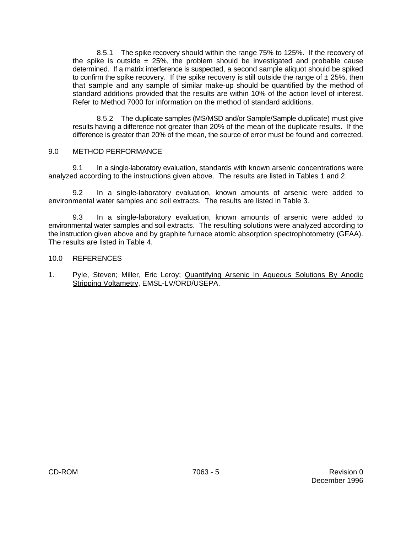8.5.1 The spike recovery should within the range 75% to 125%. If the recovery of the spike is outside  $\pm$  25%, the problem should be investigated and probable cause determined. If a matrix interference is suspected, a second sample aliquot should be spiked to confirm the spike recovery. If the spike recovery is still outside the range of  $\pm 25\%$ , then that sample and any sample of similar make-up should be quantified by the method of standard additions provided that the results are within 10% of the action level of interest. Refer to Method 7000 for information on the method of standard additions.

8.5.2 The duplicate samples (MS/MSD and/or Sample/Sample duplicate) must give results having a difference not greater than 20% of the mean of the duplicate results. If the difference is greater than 20% of the mean, the source of error must be found and corrected.

# 9.0 METHOD PERFORMANCE

9.1 In a single-laboratory evaluation, standards with known arsenic concentrations were analyzed according to the instructions given above. The results are listed in Tables 1 and 2.

9.2 In a single-laboratory evaluation, known amounts of arsenic were added to environmental water samples and soil extracts. The results are listed in Table 3.

9.3 In a single-laboratory evaluation, known amounts of arsenic were added to environmental water samples and soil extracts. The resulting solutions were analyzed according to the instruction given above and by graphite furnace atomic absorption spectrophotometry (GFAA). The results are listed in Table 4.

#### 10.0 REFERENCES

1. Pyle, Steven; Miller, Eric Leroy; Quantifying Arsenic In Aqueous Solutions By Anodic Stripping Voltametry, EMSL-LV/ORD/USEPA.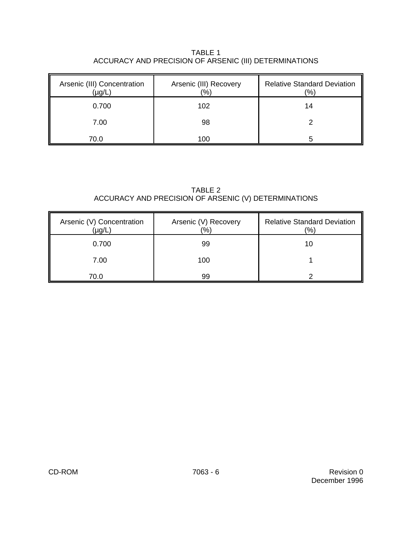TABLE 1 ACCURACY AND PRECISION OF ARSENIC (III) DETERMINATIONS

| Arsenic (III) Concentration<br>(µg/L | Arsenic (III) Recovery<br>(%) | <b>Relative Standard Deviation</b><br>(%) |
|--------------------------------------|-------------------------------|-------------------------------------------|
| 0.700                                | 102                           | 14                                        |
| 7.00                                 | 98                            |                                           |
| 70.0                                 | 100                           | h                                         |

TABLE 2 ACCURACY AND PRECISION OF ARSENIC (V) DETERMINATIONS

| Arsenic (V) Concentration<br>(µg/L | Arsenic (V) Recovery<br>(%) | <b>Relative Standard Deviation</b><br>$\frac{9}{6}$ |
|------------------------------------|-----------------------------|-----------------------------------------------------|
| 0.700                              | 99                          | 10                                                  |
| 7.00                               | 100                         |                                                     |
| 70.0                               | 99                          |                                                     |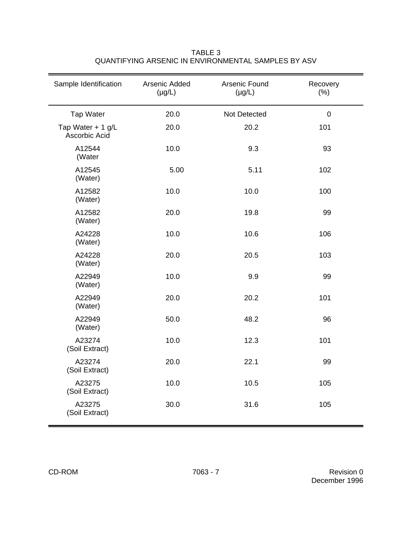| Sample Identification              | Arsenic Added<br>$(\mu g/L)$ | Arsenic Found<br>$(\mu g/L)$ | Recovery<br>(% ) |
|------------------------------------|------------------------------|------------------------------|------------------|
| <b>Tap Water</b>                   | 20.0                         | Not Detected                 | $\mathbf 0$      |
| Tap Water + 1 g/L<br>Ascorbic Acid | 20.0                         | 20.2                         | 101              |
| A12544<br>(Water                   | 10.0                         | 9.3                          | 93               |
| A12545<br>(Water)                  | 5.00                         | 5.11                         | 102              |
| A12582<br>(Water)                  | 10.0                         | 10.0                         | 100              |
| A12582<br>(Water)                  | 20.0                         | 19.8                         | 99               |
| A24228<br>(Water)                  | 10.0                         | 10.6                         | 106              |
| A24228<br>(Water)                  | 20.0                         | 20.5                         | 103              |
| A22949<br>(Water)                  | 10.0                         | 9.9                          | 99               |
| A22949<br>(Water)                  | 20.0                         | 20.2                         | 101              |
| A22949<br>(Water)                  | 50.0                         | 48.2                         | 96               |
| A23274<br>(Soil Extract)           | 10.0                         | 12.3                         | 101              |
| A23274<br>(Soil Extract)           | 20.0                         | 22.1                         | 99               |
| A23275<br>(Soil Extract)           | 10.0                         | 10.5                         | 105              |
| A23275<br>(Soil Extract)           | 30.0                         | 31.6                         | 105              |

TABLE 3 QUANTIFYING ARSENIC IN ENVIRONMENTAL SAMPLES BY ASV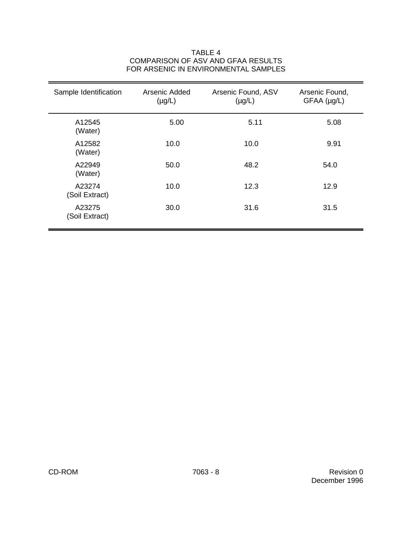# Sample Identification Arsenic Added Arsenic Found, ASV Arsenic Found,  $(\mu g/L)$   $(\mu g/L)$  GFAA  $(\mu g/L)$ A12545 5.00 5.11 5.08 (Water) A12582 10.0 10.0 10.0 9.91 (Water) A22949 50.0 48.2 54.0 (Water) A23274 10.0 12.3 12.9 (Soil Extract) A23275 30.0 30.0 31.6 31.5 (Soil Extract)

### TABLE 4 COMPARISON OF ASV AND GFAA RESULTS FOR ARSENIC IN ENVIRONMENTAL SAMPLES